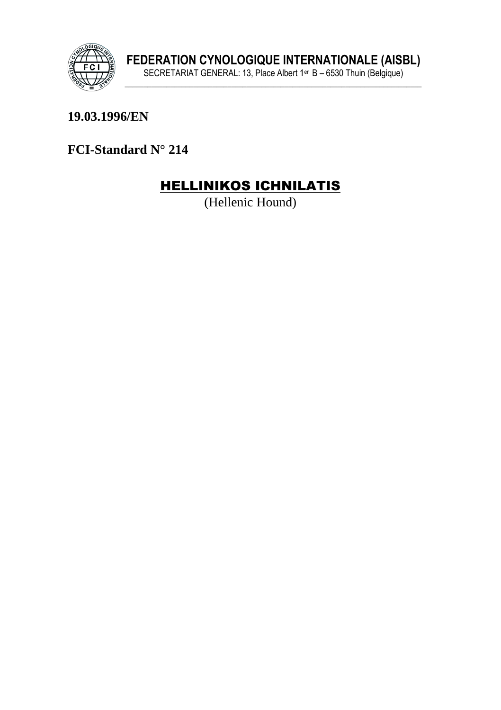

19.03.1996/EN

FCI-Standard N° 214

# **HELLINIKOS ICHNILATIS**

(Hellenic Hound)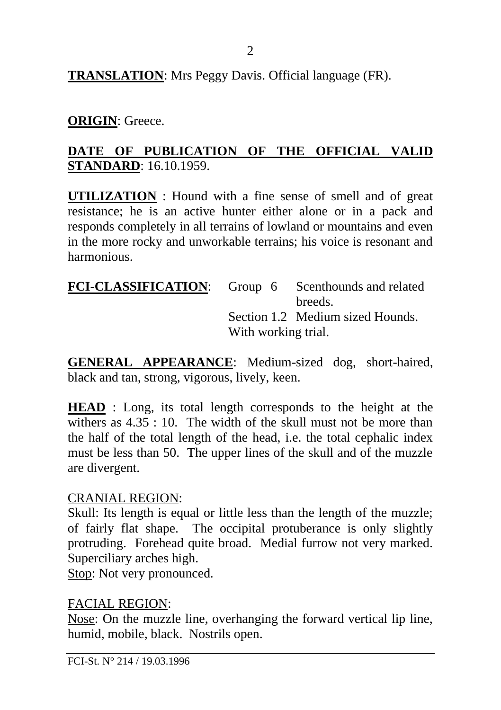2

**TRANSLATION**: Mrs Peggy Davis. Official language (FR).

# **ORIGIN**: Greece.

# **DATE OF PUBLICATION OF THE OFFICIAL VALID STANDARD**: 16.10.1959.

**UTILIZATION** : Hound with a fine sense of smell and of great resistance; he is an active hunter either alone or in a pack and responds completely in all terrains of lowland or mountains and even in the more rocky and unworkable terrains; his voice is resonant and harmonious.

| FCI-CLASSIFICATION: Group 6 Scenthounds and related |                     |                                  |  |
|-----------------------------------------------------|---------------------|----------------------------------|--|
|                                                     |                     | breeds.                          |  |
|                                                     |                     | Section 1.2 Medium sized Hounds. |  |
|                                                     | With working trial. |                                  |  |

**GENERAL APPEARANCE**: Medium-sized dog, short-haired, black and tan, strong, vigorous, lively, keen.

**HEAD** : Long, its total length corresponds to the height at the withers as  $4.35 \div 10$ . The width of the skull must not be more than the half of the total length of the head, i.e. the total cephalic index must be less than 50. The upper lines of the skull and of the muzzle are divergent.

### CRANIAL REGION:

Skull: Its length is equal or little less than the length of the muzzle; of fairly flat shape. The occipital protuberance is only slightly protruding. Forehead quite broad. Medial furrow not very marked. Superciliary arches high.

Stop: Not very pronounced.

### FACIAL REGION:

Nose: On the muzzle line, overhanging the forward vertical lip line, humid, mobile, black. Nostrils open.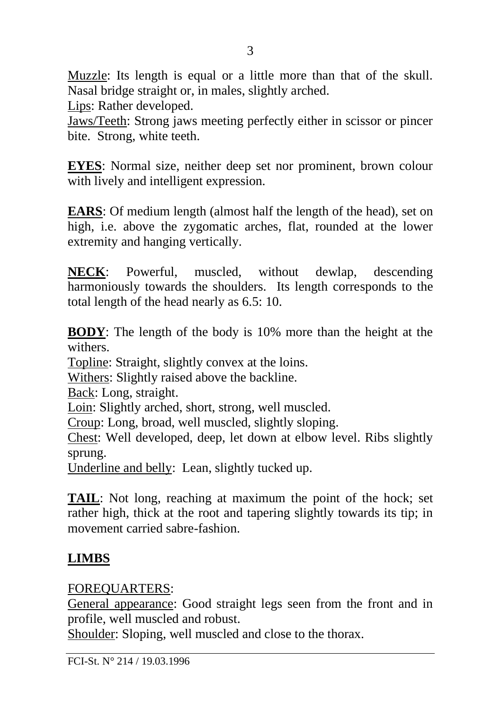Muzzle: Its length is equal or a little more than that of the skull. Nasal bridge straight or, in males, slightly arched.

Lips: Rather developed.

Jaws/Teeth: Strong jaws meeting perfectly either in scissor or pincer bite. Strong, white teeth.

**EYES**: Normal size, neither deep set nor prominent, brown colour with lively and intelligent expression.

**EARS**: Of medium length (almost half the length of the head), set on high, i.e. above the zygomatic arches, flat, rounded at the lower extremity and hanging vertically.

**NECK**: Powerful, muscled, without dewlap, descending harmoniously towards the shoulders. Its length corresponds to the total length of the head nearly as 6.5: 10.

**BODY**: The length of the body is 10% more than the height at the withers.

Topline: Straight, slightly convex at the loins.

Withers: Slightly raised above the backline.

Back: Long, straight.

Loin: Slightly arched, short, strong, well muscled.

Croup: Long, broad, well muscled, slightly sloping.

Chest: Well developed, deep, let down at elbow level. Ribs slightly sprung.

Underline and belly: Lean, slightly tucked up.

**TAIL**: Not long, reaching at maximum the point of the hock; set rather high, thick at the root and tapering slightly towards its tip; in movement carried sabre-fashion.

# **LIMBS**

# FOREQUARTERS:

General appearance: Good straight legs seen from the front and in profile, well muscled and robust.

Shoulder: Sloping, well muscled and close to the thorax.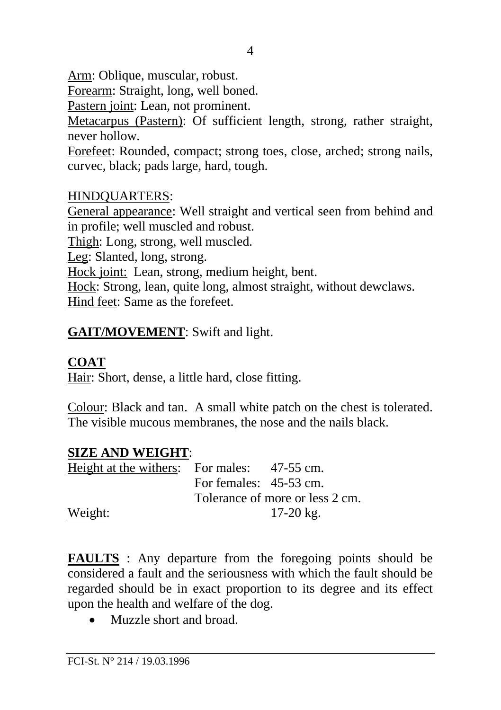Arm: Oblique, muscular, robust.

Forearm: Straight, long, well boned.

Pastern joint: Lean, not prominent.

Metacarpus (Pastern): Of sufficient length, strong, rather straight, never hollow.

Forefeet: Rounded, compact; strong toes, close, arched; strong nails, curvec, black; pads large, hard, tough.

### HINDQUARTERS:

General appearance: Well straight and vertical seen from behind and in profile; well muscled and robust.

Thigh: Long, strong, well muscled.

Leg: Slanted, long, strong.

Hock joint: Lean, strong, medium height, bent.

Hock: Strong, lean, quite long, almost straight, without dewclaws. Hind feet: Same as the forefeet.

# **GAIT/MOVEMENT**: Swift and light.

# **COAT**

Hair: Short, dense, a little hard, close fitting.

Colour: Black and tan. A small white patch on the chest is tolerated. The visible mucous membranes, the nose and the nails black.

### **SIZE AND WEIGHT**:

| Height at the withers: For males: 47-55 cm. |                                 |           |  |
|---------------------------------------------|---------------------------------|-----------|--|
|                                             | For females: $45-53$ cm.        |           |  |
|                                             | Tolerance of more or less 2 cm. |           |  |
| Weight:                                     |                                 | 17-20 kg. |  |

**FAULTS** : Any departure from the foregoing points should be considered a fault and the seriousness with which the fault should be regarded should be in exact proportion to its degree and its effect upon the health and welfare of the dog.

• Muzzle short and broad.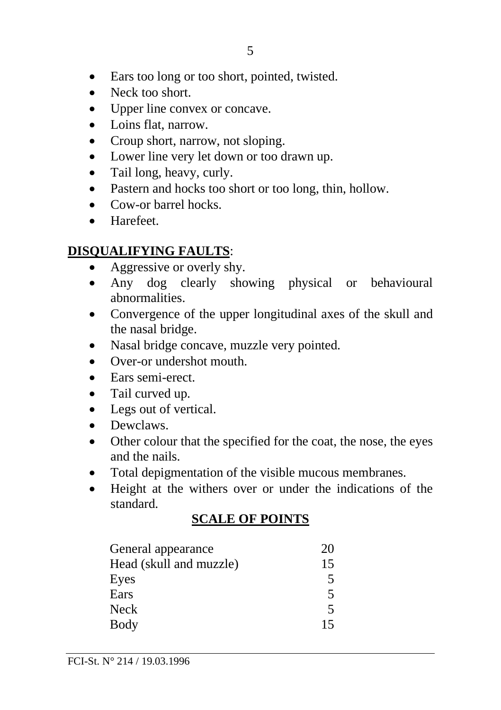- Ears too long or too short, pointed, twisted.
- Neck too short.
- Upper line convex or concave.
- Loins flat, narrow.
- Croup short, narrow, not sloping.
- Lower line very let down or too drawn up.
- Tail long, heavy, curly.
- Pastern and hocks too short or too long, thin, hollow.
- Cow-or barrel hocks.
- Harefeet.

# **DISQUALIFYING FAULTS**:

- Aggressive or overly shy.
- Any dog clearly showing physical or behavioural abnormalities.
- Convergence of the upper longitudinal axes of the skull and the nasal bridge.
- Nasal bridge concave, muzzle very pointed.
- Over-or undershot mouth
- Ears semi-erect.
- Tail curved up.
- Legs out of vertical.
- Dewclaws.
- Other colour that the specified for the coat, the nose, the eyes and the nails.
- Total depigmentation of the visible mucous membranes.
- Height at the withers over or under the indications of the standard.

# **SCALE OF POINTS**

| General appearance      | 20 |
|-------------------------|----|
| Head (skull and muzzle) | 15 |
| Eyes                    | 5  |
| Ears                    | 5  |
| Neck                    | 5  |
| Body                    | 15 |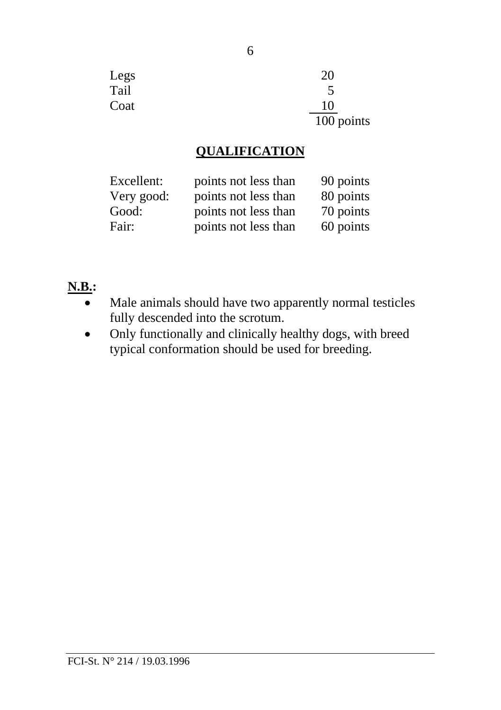| Legs | 20         |
|------|------------|
| Tail | 5          |
| Coat | 10         |
|      | 100 points |

### **QUALIFICATION**

| Excellent: | points not less than | 90 points |
|------------|----------------------|-----------|
| Very good: | points not less than | 80 points |
| Good:      | points not less than | 70 points |
| Fair:      | points not less than | 60 points |

### **N.B.:**

- Male animals should have two apparently normal testicles fully descended into the scrotum.
- Only functionally and clinically healthy dogs, with breed typical conformation should be used for breeding.